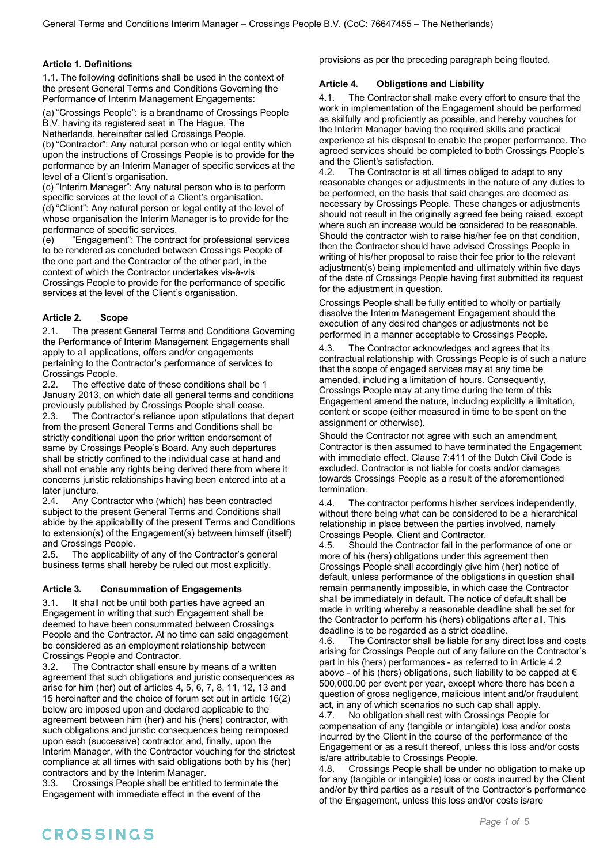#### **Article 1. Definitions**

1.1. The following definitions shall be used in the context of the present General Terms and Conditions Governing the Performance of Interim Management Engagements:

(a) "Crossings People": is a brandname of Crossings People B.V. having its registered seat in The Hague, The

Netherlands, hereinafter called Crossings People. (b) "Contractor": Any natural person who or legal entity which upon the instructions of Crossings People is to provide for the performance by an Interim Manager of specific services at the level of a Client's organisation.

(c) "Interim Manager": Any natural person who is to perform specific services at the level of a Client's organisation.

(d) "Client": Any natural person or legal entity at the level of whose organisation the Interim Manager is to provide for the performance of specific services.

(e) "Engagement": The contract for professional services to be rendered as concluded between Crossings People of the one part and the Contractor of the other part, in the context of which the Contractor undertakes vis-à-vis Crossings People to provide for the performance of specific services at the level of the Client's organisation.

#### **Article 2. Scope**

2.1. The present General Terms and Conditions Governing the Performance of Interim Management Engagements shall apply to all applications, offers and/or engagements pertaining to the Contractor's performance of services to Crossings People.

2.2. The effective date of these conditions shall be 1 January 2013, on which date all general terms and conditions previously published by Crossings People shall cease.

2.3. The Contractor's reliance upon stipulations that depart from the present General Terms and Conditions shall be strictly conditional upon the prior written endorsement of same by Crossings People's Board. Any such departures shall be strictly confined to the individual case at hand and shall not enable any rights being derived there from where it concerns juristic relationships having been entered into at a later juncture.

2.4. Any Contractor who (which) has been contracted subject to the present General Terms and Conditions shall abide by the applicability of the present Terms and Conditions to extension(s) of the Engagement(s) between himself (itself) and Crossings People.

2.5. The applicability of any of the Contractor's general business terms shall hereby be ruled out most explicitly.

#### **Article 3. Consummation of Engagements**

3.1. It shall not be until both parties have agreed an Engagement in writing that such Engagement shall be deemed to have been consummated between Crossings People and the Contractor. At no time can said engagement be considered as an employment relationship between Crossings People and Contractor.

3.2. The Contractor shall ensure by means of a written agreement that such obligations and juristic consequences as arise for him (her) out of articles 4, 5, 6, 7, 8, 11, 12, 13 and 15 hereinafter and the choice of forum set out in article 16(2) below are imposed upon and declared applicable to the agreement between him (her) and his (hers) contractor, with such obligations and juristic consequences being reimposed upon each (successive) contractor and, finally, upon the Interim Manager, with the Contractor vouching for the strictest compliance at all times with said obligations both by his (her) contractors and by the Interim Manager.

3.3. Crossings People shall be entitled to terminate the Engagement with immediate effect in the event of the

provisions as per the preceding paragraph being flouted.

#### **Article 4. Obligations and Liability**

4.1. The Contractor shall make every effort to ensure that the work in implementation of the Engagement should be performed as skilfully and proficiently as possible, and hereby vouches for the Interim Manager having the required skills and practical experience at his disposal to enable the proper performance. The agreed services should be completed to both Crossings People's and the Client's satisfaction.

4.2. The Contractor is at all times obliged to adapt to any reasonable changes or adjustments in the nature of any duties to be performed, on the basis that said changes are deemed as necessary by Crossings People. These changes or adjustments should not result in the originally agreed fee being raised, except where such an increase would be considered to be reasonable. Should the contractor wish to raise his/her fee on that condition, then the Contractor should have advised Crossings People in writing of his/her proposal to raise their fee prior to the relevant adjustment(s) being implemented and ultimately within five days of the date of Crossings People having first submitted its request for the adjustment in question.

Crossings People shall be fully entitled to wholly or partially dissolve the Interim Management Engagement should the execution of any desired changes or adjustments not be performed in a manner acceptable to Crossings People.

4.3. The Contractor acknowledges and agrees that its contractual relationship with Crossings People is of such a nature that the scope of engaged services may at any time be amended, including a limitation of hours. Consequently, Crossings People may at any time during the term of this Engagement amend the nature, including explicitly a limitation, content or scope (either measured in time to be spent on the assignment or otherwise).

Should the Contractor not agree with such an amendment, Contractor is then assumed to have terminated the Engagement with immediate effect. Clause 7:411 of the Dutch Civil Code is excluded. Contractor is not liable for costs and/or damages towards Crossings People as a result of the aforementioned termination.

4.4. The contractor performs his/her services independently, without there being what can be considered to be a hierarchical relationship in place between the parties involved, namely Crossings People, Client and Contractor.

4.5. Should the Contractor fail in the performance of one or more of his (hers) obligations under this agreement then Crossings People shall accordingly give him (her) notice of default, unless performance of the obligations in question shall remain permanently impossible, in which case the Contractor shall be immediately in default. The notice of default shall be made in writing whereby a reasonable deadline shall be set for the Contractor to perform his (hers) obligations after all. This deadline is to be regarded as a strict deadline.

4.6. The Contractor shall be liable for any direct loss and costs arising for Crossings People out of any failure on the Contractor's part in his (hers) performances - as referred to in Article 4.2 above - of his (hers) obligations, such liability to be capped at  $\epsilon$ 500,000.00 per event per year, except where there has been a question of gross negligence, malicious intent and/or fraudulent act, in any of which scenarios no such cap shall apply.

4.7. No obligation shall rest with Crossings People for compensation of any (tangible or intangible) loss and/or costs incurred by the Client in the course of the performance of the Engagement or as a result thereof, unless this loss and/or costs is/are attributable to Crossings People.

4.8. Crossings People shall be under no obligation to make up for any (tangible or intangible) loss or costs incurred by the Client and/or by third parties as a result of the Contractor's performance of the Engagement, unless this loss and/or costs is/are

## CROSSINGS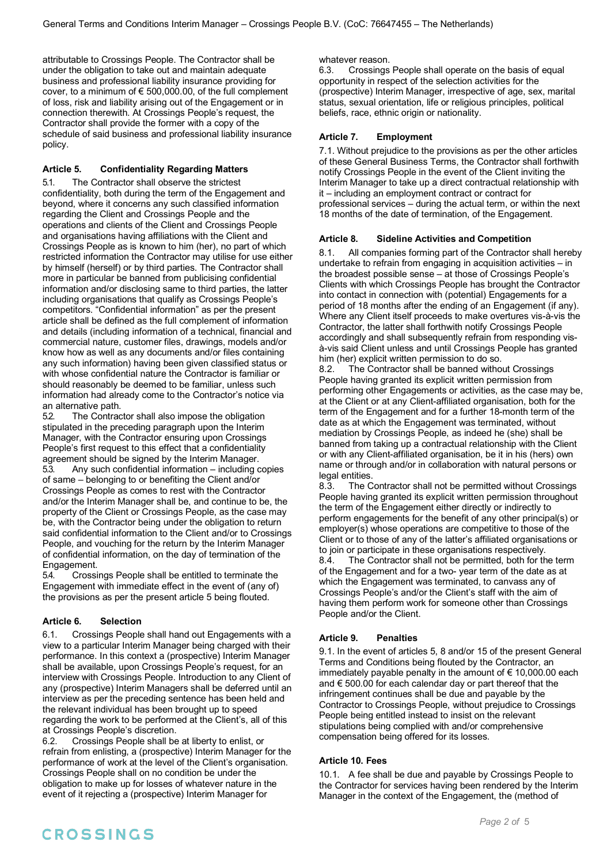attributable to Crossings People. The Contractor shall be under the obligation to take out and maintain adequate business and professional liability insurance providing for cover, to a minimum of  $\epsilon$  500,000.00, of the full complement of loss, risk and liability arising out of the Engagement or in connection therewith. At Crossings People's request, the Contractor shall provide the former with a copy of the schedule of said business and professional liability insurance policy.

## **Article 5. Confidentiality Regarding Matters**

5.1. The Contractor shall observe the strictest confidentiality, both during the term of the Engagement and beyond, where it concerns any such classified information regarding the Client and Crossings People and the operations and clients of the Client and Crossings People and organisations having affiliations with the Client and Crossings People as is known to him (her), no part of which restricted information the Contractor may utilise for use either by himself (herself) or by third parties. The Contractor shall more in particular be banned from publicising confidential information and/or disclosing same to third parties, the latter including organisations that qualify as Crossings People's competitors. "Confidential information" as per the present article shall be defined as the full complement of information and details (including information of a technical, financial and commercial nature, customer files, drawings, models and/or know how as well as any documents and/or files containing any such information) having been given classified status or with whose confidential nature the Contractor is familiar or should reasonably be deemed to be familiar, unless such information had already come to the Contractor's notice via an alternative path.

5.2. The Contractor shall also impose the obligation stipulated in the preceding paragraph upon the Interim Manager, with the Contractor ensuring upon Crossings People's first request to this effect that a confidentiality agreement should be signed by the Interim Manager. 5.3. Any such confidential information – including copies of same – belonging to or benefiting the Client and/or Crossings People as comes to rest with the Contractor and/or the Interim Manager shall be, and continue to be, the property of the Client or Crossings People, as the case may be, with the Contractor being under the obligation to return said confidential information to the Client and/or to Crossings People, and vouching for the return by the Interim Manager of confidential information, on the day of termination of the Engagement.

5.4. Crossings People shall be entitled to terminate the Engagement with immediate effect in the event of (any of) the provisions as per the present article 5 being flouted.

#### **Article 6. Selection**

6.1. Crossings People shall hand out Engagements with a view to a particular Interim Manager being charged with their performance. In this context a (prospective) Interim Manager shall be available, upon Crossings People's request, for an interview with Crossings People. Introduction to any Client of any (prospective) Interim Managers shall be deferred until an interview as per the preceding sentence has been held and the relevant individual has been brought up to speed regarding the work to be performed at the Client's, all of this at Crossings People's discretion.

6.2. Crossings People shall be at liberty to enlist, or refrain from enlisting, a (prospective) Interim Manager for the performance of work at the level of the Client's organisation. Crossings People shall on no condition be under the obligation to make up for losses of whatever nature in the event of it rejecting a (prospective) Interim Manager for

#### whatever reason.

6.3. Crossings People shall operate on the basis of equal opportunity in respect of the selection activities for the (prospective) Interim Manager, irrespective of age, sex, marital status, sexual orientation, life or religious principles, political beliefs, race, ethnic origin or nationality.

#### **Article 7. Employment**

7.1. Without prejudice to the provisions as per the other articles of these General Business Terms, the Contractor shall forthwith notify Crossings People in the event of the Client inviting the Interim Manager to take up a direct contractual relationship with it – including an employment contract or contract for professional services – during the actual term, or within the next 18 months of the date of termination, of the Engagement.

#### **Article 8. Sideline Activities and Competition**

All companies forming part of the Contractor shall hereby undertake to refrain from engaging in acquisition activities – in the broadest possible sense – at those of Crossings People's Clients with which Crossings People has brought the Contractor into contact in connection with (potential) Engagements for a period of 18 months after the ending of an Engagement (if any). Where any Client itself proceeds to make overtures vis-à-vis the Contractor, the latter shall forthwith notify Crossings People accordingly and shall subsequently refrain from responding visà-vis said Client unless and until Crossings People has granted him (her) explicit written permission to do so.

8.2. The Contractor shall be banned without Crossings People having granted its explicit written permission from performing other Engagements or activities, as the case may be, at the Client or at any Client-affiliated organisation, both for the term of the Engagement and for a further 18-month term of the date as at which the Engagement was terminated, without mediation by Crossings People, as indeed he (she) shall be banned from taking up a contractual relationship with the Client or with any Client-affiliated organisation, be it in his (hers) own name or through and/or in collaboration with natural persons or legal entities.

8.3. The Contractor shall not be permitted without Crossings People having granted its explicit written permission throughout the term of the Engagement either directly or indirectly to perform engagements for the benefit of any other principal(s) or employer(s) whose operations are competitive to those of the Client or to those of any of the latter's affiliated organisations or to join or participate in these organisations respectively. 8.4. The Contractor shall not be permitted, both for the term of the Engagement and for a two- year term of the date as at

which the Engagement was terminated, to canvass any of Crossings People's and/or the Client's staff with the aim of having them perform work for someone other than Crossings People and/or the Client.

#### **Article 9. Penalties**

9.1. In the event of articles 5, 8 and/or 15 of the present General Terms and Conditions being flouted by the Contractor, an immediately payable penalty in the amount of  $\epsilon$  10,000.00 each and € 500.00 for each calendar day or part thereof that the infringement continues shall be due and payable by the Contractor to Crossings People, without prejudice to Crossings People being entitled instead to insist on the relevant stipulations being complied with and/or comprehensive compensation being offered for its losses.

#### **Article 10. Fees**

10.1. A fee shall be due and payable by Crossings People to the Contractor for services having been rendered by the Interim Manager in the context of the Engagement, the (method of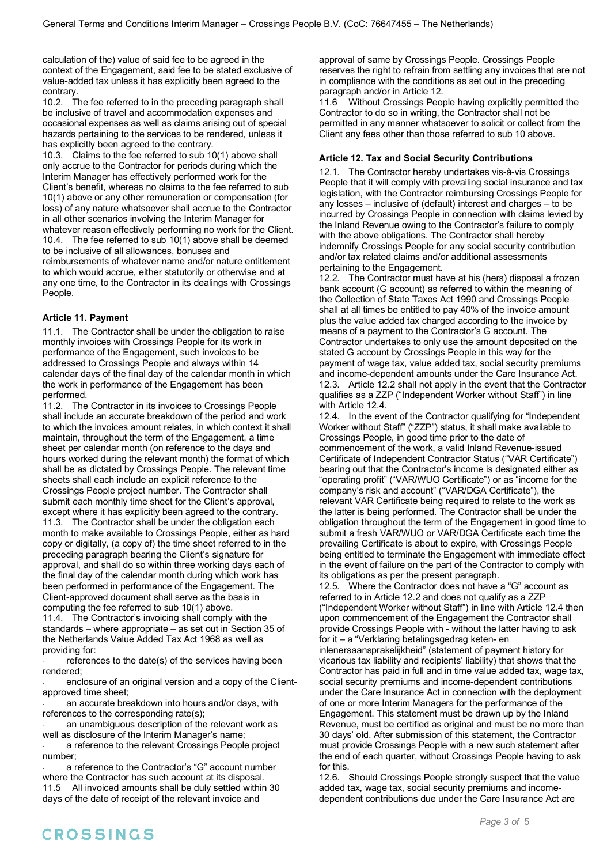calculation of the) value of said fee to be agreed in the context of the Engagement, said fee to be stated exclusive of value-added tax unless it has explicitly been agreed to the contrary.

10.2. The fee referred to in the preceding paragraph shall be inclusive of travel and accommodation expenses and occasional expenses as well as claims arising out of special hazards pertaining to the services to be rendered, unless it has explicitly been agreed to the contrary.

10.3. Claims to the fee referred to sub 10(1) above shall only accrue to the Contractor for periods during which the Interim Manager has effectively performed work for the Client's benefit, whereas no claims to the fee referred to sub 10(1) above or any other remuneration or compensation (for loss) of any nature whatsoever shall accrue to the Contractor in all other scenarios involving the Interim Manager for whatever reason effectively performing no work for the Client. 10.4. The fee referred to sub 10(1) above shall be deemed to be inclusive of all allowances, bonuses and reimbursements of whatever name and/or nature entitlement to which would accrue, either statutorily or otherwise and at any one time, to the Contractor in its dealings with Crossings People.

#### **Article 11. Payment**

11.1. The Contractor shall be under the obligation to raise monthly invoices with Crossings People for its work in performance of the Engagement, such invoices to be addressed to Crossings People and always within 14 calendar days of the final day of the calendar month in which the work in performance of the Engagement has been performed.

11.2. The Contractor in its invoices to Crossings People shall include an accurate breakdown of the period and work to which the invoices amount relates, in which context it shall maintain, throughout the term of the Engagement, a time sheet per calendar month (on reference to the days and hours worked during the relevant month) the format of which shall be as dictated by Crossings People. The relevant time sheets shall each include an explicit reference to the Crossings People project number. The Contractor shall submit each monthly time sheet for the Client's approval, except where it has explicitly been agreed to the contrary. 11.3. The Contractor shall be under the obligation each month to make available to Crossings People, either as hard copy or digitally, (a copy of) the time sheet referred to in the preceding paragraph bearing the Client's signature for approval, and shall do so within three working days each of the final day of the calendar month during which work has been performed in performance of the Engagement. The Client-approved document shall serve as the basis in computing the fee referred to sub 10(1) above.

11.4. The Contractor's invoicing shall comply with the standards – where appropriate – as set out in Section 35 of the Netherlands Value Added Tax Act 1968 as well as providing for:

references to the date(s) of the services having been rendered;

enclosure of an original version and a copy of the Clientapproved time sheet;

an accurate breakdown into hours and/or days, with references to the corresponding rate(s);

an unambiguous description of the relevant work as well as disclosure of the Interim Manager's name;

a reference to the relevant Crossings People project number;

a reference to the Contractor's "G" account number where the Contractor has such account at its disposal. 11.5 All invoiced amounts shall be duly settled within 30 days of the date of receipt of the relevant invoice and

approval of same by Crossings People. Crossings People reserves the right to refrain from settling any invoices that are not in compliance with the conditions as set out in the preceding paragraph and/or in Article 12.

11.6 Without Crossings People having explicitly permitted the Contractor to do so in writing, the Contractor shall not be permitted in any manner whatsoever to solicit or collect from the Client any fees other than those referred to sub 10 above.

#### **Article 12. Tax and Social Security Contributions**

The Contractor hereby undertakes vis-à-vis Crossings People that it will comply with prevailing social insurance and tax legislation, with the Contractor reimbursing Crossings People for any losses – inclusive of (default) interest and charges – to be incurred by Crossings People in connection with claims levied by the Inland Revenue owing to the Contractor's failure to comply with the above obligations. The Contractor shall hereby indemnify Crossings People for any social security contribution and/or tax related claims and/or additional assessments pertaining to the Engagement.

12.2. The Contractor must have at his (hers) disposal a frozen bank account (G account) as referred to within the meaning of the Collection of State Taxes Act 1990 and Crossings People shall at all times be entitled to pay 40% of the invoice amount plus the value added tax charged according to the invoice by means of a payment to the Contractor's G account. The Contractor undertakes to only use the amount deposited on the stated G account by Crossings People in this way for the payment of wage tax, value added tax, social security premiums and income-dependent amounts under the Care Insurance Act. 12.3. Article 12.2 shall not apply in the event that the Contractor qualifies as a ZZP ("Independent Worker without Staff") in line with Article 12.4.

12.4. In the event of the Contractor qualifying for "Independent Worker without Staff" ("ZZP") status, it shall make available to Crossings People, in good time prior to the date of commencement of the work, a valid Inland Revenue-issued Certificate of Independent Contractor Status ("VAR Certificate") bearing out that the Contractor's income is designated either as "operating profit" ("VAR/WUO Certificate") or as "income for the company's risk and account" ("VAR/DGA Certificate"), the relevant VAR Certificate being required to relate to the work as the latter is being performed. The Contractor shall be under the obligation throughout the term of the Engagement in good time to submit a fresh VAR/WUO or VAR/DGA Certificate each time the prevailing Certificate is about to expire, with Crossings People being entitled to terminate the Engagement with immediate effect in the event of failure on the part of the Contractor to comply with its obligations as per the present paragraph.

12.5. Where the Contractor does not have a "G" account as referred to in Article 12.2 and does not qualify as a ZZP ("Independent Worker without Staff") in line with Article 12.4 then upon commencement of the Engagement the Contractor shall provide Crossings People with - without the latter having to ask for it – a "Verklaring betalingsgedrag keten- en inlenersaansprakelijkheid" (statement of payment history for vicarious tax liability and recipients' liability) that shows that the Contractor has paid in full and in time value added tax, wage tax, social security premiums and income-dependent contributions under the Care Insurance Act in connection with the deployment of one or more Interim Managers for the performance of the Engagement. This statement must be drawn up by the Inland Revenue, must be certified as original and must be no more than 30 days' old. After submission of this statement, the Contractor must provide Crossings People with a new such statement after the end of each quarter, without Crossings People having to ask for this.

12.6. Should Crossings People strongly suspect that the value added tax, wage tax, social security premiums and incomedependent contributions due under the Care Insurance Act are

# CROSSINGS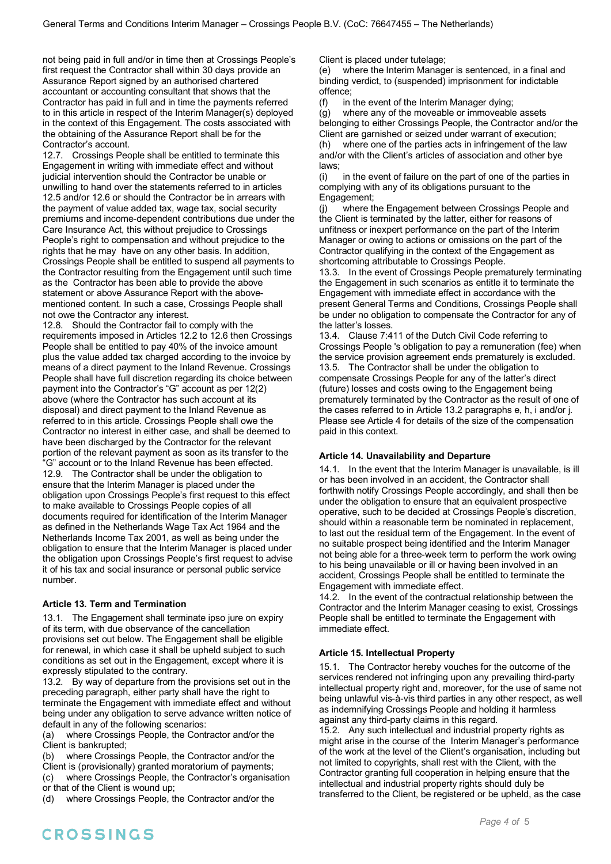not being paid in full and/or in time then at Crossings People's first request the Contractor shall within 30 days provide an Assurance Report signed by an authorised chartered accountant or accounting consultant that shows that the Contractor has paid in full and in time the payments referred to in this article in respect of the Interim Manager(s) deployed in the context of this Engagement. The costs associated with the obtaining of the Assurance Report shall be for the Contractor's account.

12.7. Crossings People shall be entitled to terminate this Engagement in writing with immediate effect and without judicial intervention should the Contractor be unable or unwilling to hand over the statements referred to in articles 12.5 and/or 12.6 or should the Contractor be in arrears with the payment of value added tax, wage tax, social security premiums and income-dependent contributions due under the Care Insurance Act, this without prejudice to Crossings People's right to compensation and without prejudice to the rights that he may have on any other basis. In addition, Crossings People shall be entitled to suspend all payments to the Contractor resulting from the Engagement until such time as the Contractor has been able to provide the above statement or above Assurance Report with the abovementioned content. In such a case, Crossings People shall not owe the Contractor any interest.

12.8. Should the Contractor fail to comply with the requirements imposed in Articles 12.2 to 12.6 then Crossings People shall be entitled to pay 40% of the invoice amount plus the value added tax charged according to the invoice by means of a direct payment to the Inland Revenue. Crossings People shall have full discretion regarding its choice between payment into the Contractor's "G" account as per 12(2) above (where the Contractor has such account at its disposal) and direct payment to the Inland Revenue as referred to in this article. Crossings People shall owe the Contractor no interest in either case, and shall be deemed to have been discharged by the Contractor for the relevant portion of the relevant payment as soon as its transfer to the "G" account or to the Inland Revenue has been effected. 12.9. The Contractor shall be under the obligation to ensure that the Interim Manager is placed under the obligation upon Crossings People's first request to this effect to make available to Crossings People copies of all documents required for identification of the Interim Manager as defined in the Netherlands Wage Tax Act 1964 and the Netherlands Income Tax 2001, as well as being under the obligation to ensure that the Interim Manager is placed under the obligation upon Crossings People's first request to advise it of his tax and social insurance or personal public service number.

#### **Article 13. Term and Termination**

13.1. The Engagement shall terminate ipso jure on expiry of its term, with due observance of the cancellation provisions set out below. The Engagement shall be eligible for renewal, in which case it shall be upheld subject to such conditions as set out in the Engagement, except where it is expressly stipulated to the contrary.

13.2. By way of departure from the provisions set out in the preceding paragraph, either party shall have the right to terminate the Engagement with immediate effect and without being under any obligation to serve advance written notice of default in any of the following scenarios:

(a) where Crossings People, the Contractor and/or the Client is bankrupted;

(b) where Crossings People, the Contractor and/or the Client is (provisionally) granted moratorium of payments; (c) where Crossings People, the Contractor's organisation

or that of the Client is wound up;

(d) where Crossings People, the Contractor and/or the

Client is placed under tutelage;

(e) where the Interim Manager is sentenced, in a final and binding verdict, to (suspended) imprisonment for indictable offence;

(f) in the event of the Interim Manager dying;

(g) where any of the moveable or immoveable assets belonging to either Crossings People, the Contractor and/or the Client are garnished or seized under warrant of execution; (h) where one of the parties acts in infringement of the law and/or with the Client's articles of association and other bye laws;

(i) in the event of failure on the part of one of the parties in complying with any of its obligations pursuant to the Engagement;

(j) where the Engagement between Crossings People and the Client is terminated by the latter, either for reasons of unfitness or inexpert performance on the part of the Interim Manager or owing to actions or omissions on the part of the Contractor qualifying in the context of the Engagement as shortcoming attributable to Crossings People.

13.3. In the event of Crossings People prematurely terminating the Engagement in such scenarios as entitle it to terminate the Engagement with immediate effect in accordance with the present General Terms and Conditions, Crossings People shall be under no obligation to compensate the Contractor for any of the latter's losses.

13.4. Clause 7:411 of the Dutch Civil Code referring to Crossings People 's obligation to pay a remuneration (fee) when the service provision agreement ends prematurely is excluded. 13.5. The Contractor shall be under the obligation to compensate Crossings People for any of the latter's direct (future) losses and costs owing to the Engagement being prematurely terminated by the Contractor as the result of one of the cases referred to in Article 13.2 paragraphs e, h, i and/or j. Please see Article 4 for details of the size of the compensation paid in this context.

## **Article 14. Unavailability and Departure**

14.1. In the event that the Interim Manager is unavailable, is ill or has been involved in an accident, the Contractor shall forthwith notify Crossings People accordingly, and shall then be under the obligation to ensure that an equivalent prospective operative, such to be decided at Crossings People's discretion, should within a reasonable term be nominated in replacement, to last out the residual term of the Engagement. In the event of no suitable prospect being identified and the Interim Manager not being able for a three-week term to perform the work owing to his being unavailable or ill or having been involved in an accident, Crossings People shall be entitled to terminate the Engagement with immediate effect.

14.2. In the event of the contractual relationship between the Contractor and the Interim Manager ceasing to exist, Crossings People shall be entitled to terminate the Engagement with immediate effect.

## **Article 15. Intellectual Property**

15.1. The Contractor hereby vouches for the outcome of the services rendered not infringing upon any prevailing third-party intellectual property right and, moreover, for the use of same not being unlawful vis-à-vis third parties in any other respect, as well as indemnifying Crossings People and holding it harmless against any third-party claims in this regard.

15.2. Any such intellectual and industrial property rights as might arise in the course of the Interim Manager's performance of the work at the level of the Client's organisation, including but not limited to copyrights, shall rest with the Client, with the Contractor granting full cooperation in helping ensure that the intellectual and industrial property rights should duly be transferred to the Client, be registered or be upheld, as the case